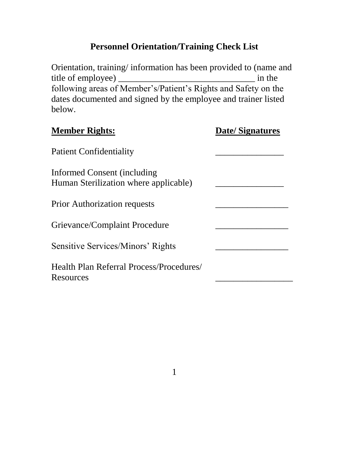# **Personnel Orientation/Training Check List**

Orientation, training/ information has been provided to (name and title of employee) \_\_\_\_\_\_\_\_\_\_\_\_\_\_\_\_\_\_\_\_\_\_\_\_\_\_\_\_\_\_ in the following areas of Member's/Patient's Rights and Safety on the dates documented and signed by the employee and trainer listed below.

| <b>Member Rights:</b>                                                | <b>Date/Signatures</b> |
|----------------------------------------------------------------------|------------------------|
| <b>Patient Confidentiality</b>                                       |                        |
| Informed Consent (including<br>Human Sterilization where applicable) |                        |
| <b>Prior Authorization requests</b>                                  |                        |
| Grievance/Complaint Procedure                                        |                        |
| Sensitive Services/Minors' Rights                                    |                        |
| Health Plan Referral Process/Procedures/<br>Resources                |                        |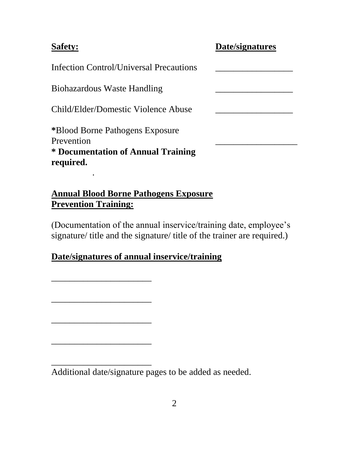#### **Safety:**

| Date/signatures |
|-----------------|
|                 |

Infection Control/Universal Precautions \_\_\_\_\_\_\_\_\_\_\_\_\_\_\_\_\_

Biohazardous Waste Handling \_\_\_\_\_\_\_\_\_\_\_\_\_\_\_\_\_

.

\_\_\_\_\_\_\_\_\_\_\_\_\_\_\_\_\_\_\_\_\_\_

\_\_\_\_\_\_\_\_\_\_\_\_\_\_\_\_\_\_\_\_\_\_

\_\_\_\_\_\_\_\_\_\_\_\_\_\_\_\_\_\_\_\_\_\_

\_\_\_\_\_\_\_\_\_\_\_\_\_\_\_\_\_\_\_\_\_\_

\_\_\_\_\_\_\_\_\_\_\_\_\_\_\_\_\_\_\_\_\_\_

Child/Elder/Domestic Violence Abuse \_\_\_\_\_\_\_\_\_\_\_\_\_\_\_\_\_

**\***Blood Borne Pathogens Exposure Prevention **\* Documentation of Annual Training required.**

**Annual Blood Borne Pathogens Exposure Prevention Training:**

(Documentation of the annual inservice/training date, employee's signature/ title and the signature/ title of the trainer are required.)

# **Date/signatures of annual inservice/training**

Additional date/signature pages to be added as needed.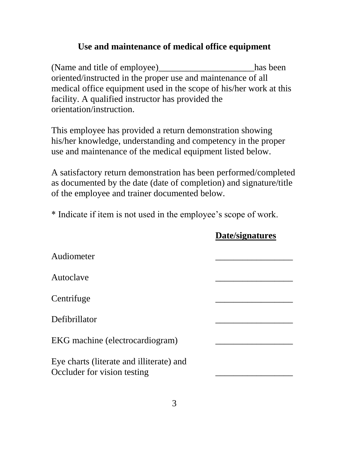## **Use and maintenance of medical office equipment**

(Name and title of employee)\_\_\_\_\_\_\_\_\_\_\_\_\_\_\_\_\_\_\_\_\_\_has been oriented/instructed in the proper use and maintenance of all medical office equipment used in the scope of his/her work at this facility. A qualified instructor has provided the orientation/instruction.

This employee has provided a return demonstration showing his/her knowledge, understanding and competency in the proper use and maintenance of the medical equipment listed below.

A satisfactory return demonstration has been performed/completed as documented by the date (date of completion) and signature/title of the employee and trainer documented below.

\* Indicate if item is not used in the employee's scope of work.

| Audiometer                               |  |
|------------------------------------------|--|
|                                          |  |
| Autoclave                                |  |
|                                          |  |
| Centrifuge                               |  |
|                                          |  |
| Defibrillator                            |  |
|                                          |  |
| EKG machine (electrocardiogram)          |  |
|                                          |  |
| Eye charts (literate and illiterate) and |  |
| Occluder for vision testing              |  |
|                                          |  |

## **Date/signatures**